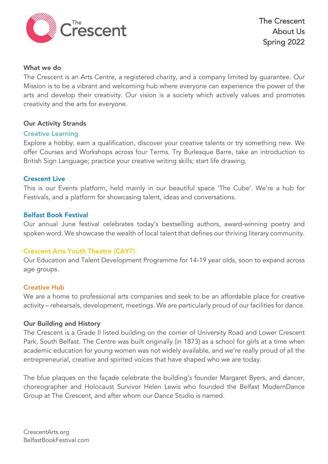

### What we do

The Crescent is an Arts Centre, a registered charity, and a company limited by guarantee. Our Mission is to be a vibrant and welcoming hub where everyone can experience the power of the arts and develop their creativity. Our vision is a society which actively values and promotes creativity and the arts for everyone.

## Our Activity Strands

## Creative Learning

Explore a hobby, earn a qualification, discover your creative talents or try something new. We offer Courses and Workshops across four Terms. Try Burlesque Barre, take an introduction to British Sign Language; practice your creative writing skills; start life drawing.

## Crescent Live

This is our Events platform, held mainly in our beautiful space 'The Cube'. We're a hub for Festivals, and a platform for showcasing talent, ideas and conversations.

## Belfast Book Festival

Our annual June festival celebrates today's bestselling authors, award-winning poetry and spoken word. We showcase the wealth of local talent that defines our thriving literary community.

# Crescent Arts Youth Theatre (CAYT)

Our Education and Talent Development Programme for 14-19 year olds, soon to expand across age groups.

### Creative Hub

We are a home to professional arts companies and seek to be an affordable place for creative activity – rehearsals, development, meetings. We are particularly proud of our facilities for dance.

### Our Building and History

The Crescent is a Grade II listed building on the corner of University Road and Lower Crescent Park, South Belfast. The Centre was built originally (in 1873) as a school for girls at a time when academic education for young women was not widely available, and we're really proud of all the entrepreneurial, creative and spirited voices that have shaped who we are today.

The blue plaques on the façade celebrate the building's founder Margaret Byers, and dancer, choreographer and Holocaust Survivor Helen Lewis who founded the Belfast ModernDance Group at The Crescent, and after whom our Dance Studio is named.